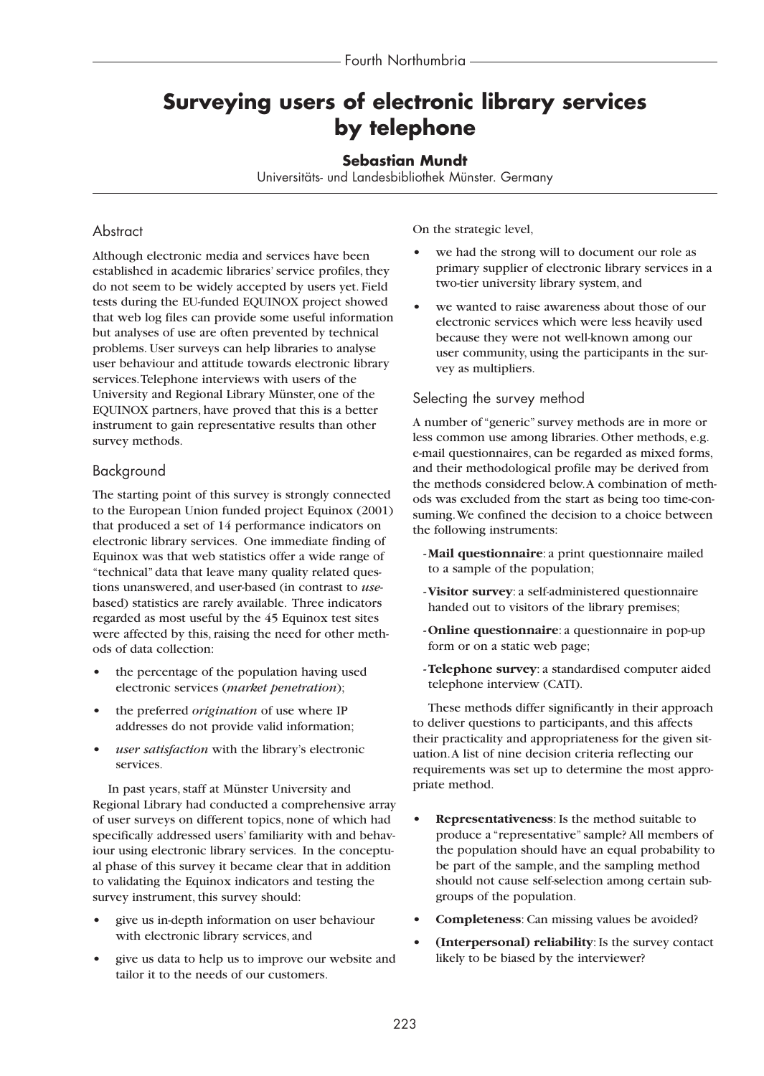# **Surveying users of electronic library services by telephone**

## **Sebastian Mundt**

Universitäts- und Landesbibliothek Münster. Germany

## **Abstract**

Although electronic media and services have been established in academic libraries' service profiles, they do not seem to be widely accepted by users yet. Field tests during the EU-funded EQUINOX project showed that web log files can provide some useful information but analyses of use are often prevented by technical problems. User surveys can help libraries to analyse user behaviour and attitude towards electronic library services.Telephone interviews with users of the University and Regional Library Münster, one of the EQUINOX partners, have proved that this is a better instrument to gain representative results than other survey methods.

## Background

The starting point of this survey is strongly connected to the European Union funded project Equinox (2001) that produced a set of 14 performance indicators on electronic library services. One immediate finding of Equinox was that web statistics offer a wide range of "technical" data that leave many quality related questions unanswered, and user-based (in contrast to *use*based) statistics are rarely available. Three indicators regarded as most useful by the 45 Equinox test sites were affected by this, raising the need for other methods of data collection:

- **•** the percentage of the population having used electronic services (*market penetration*);
- **•** the preferred *origination* of use where IP addresses do not provide valid information;
- **•** *user satisfaction* with the library's electronic services.

In past years, staff at Münster University and Regional Library had conducted a comprehensive array of user surveys on different topics, none of which had specifically addressed users' familiarity with and behaviour using electronic library services. In the conceptual phase of this survey it became clear that in addition to validating the Equinox indicators and testing the survey instrument, this survey should:

- **•** give us in-depth information on user behaviour with electronic library services, and
- **•** give us data to help us to improve our website and tailor it to the needs of our customers.

On the strategic level,

- **•** we had the strong will to document our role as primary supplier of electronic library services in a two-tier university library system, and
- **•** we wanted to raise awareness about those of our electronic services which were less heavily used because they were not well-known among our user community, using the participants in the survey as multipliers.

## Selecting the survey method

A number of "generic" survey methods are in more or less common use among libraries. Other methods, e.g. e-mail questionnaires, can be regarded as mixed forms, and their methodological profile may be derived from the methods considered below.A combination of methods was excluded from the start as being too time-consuming.We confined the decision to a choice between the following instruments:

- **-Mail questionnaire**: a print questionnaire mailed to a sample of the population;
- **-Visitor survey**: a self-administered questionnaire handed out to visitors of the library premises;
- **-Online questionnaire**: a questionnaire in pop-up form or on a static web page;
- **-Telephone survey**: a standardised computer aided telephone interview (CATI).

These methods differ significantly in their approach to deliver questions to participants, and this affects their practicality and appropriateness for the given situation.A list of nine decision criteria reflecting our requirements was set up to determine the most appropriate method.

- **Representativeness**: Is the method suitable to produce a "representative" sample? All members of the population should have an equal probability to be part of the sample, and the sampling method should not cause self-selection among certain subgroups of the population.
- **Completeness**: Can missing values be avoided?
- **(Interpersonal) reliability**: Is the survey contact likely to be biased by the interviewer?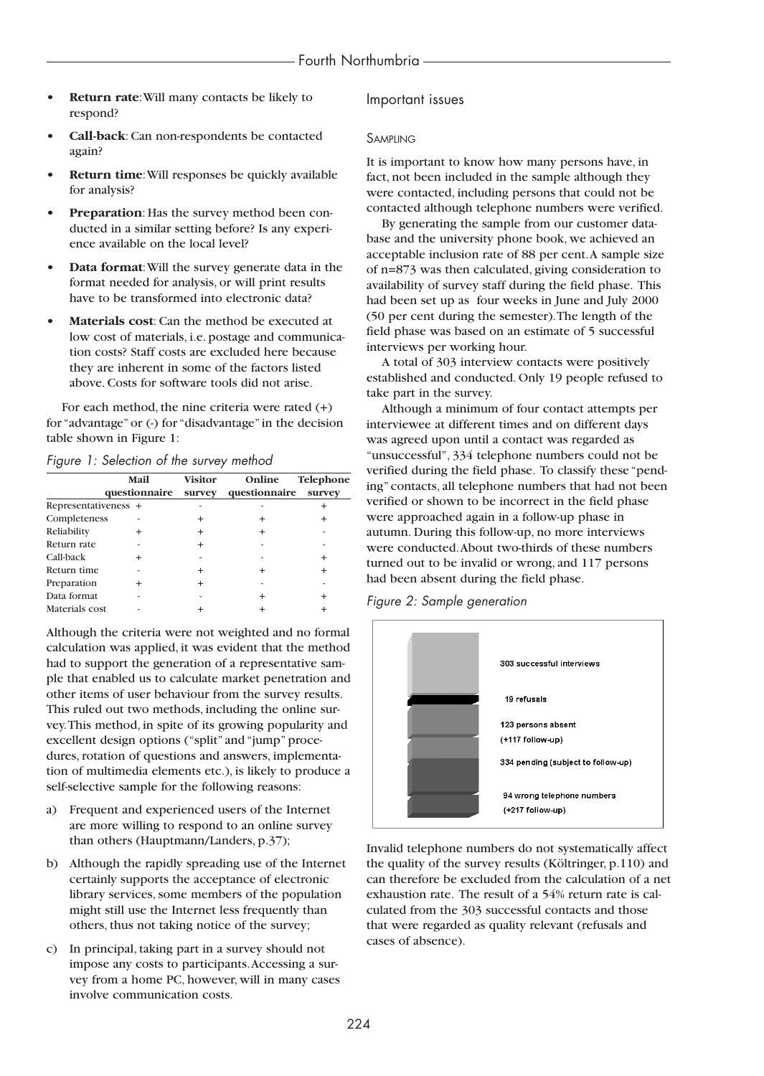- **Return rate:** Will many contacts be likely to respond?
- **Call-back**: Can non-respondents be contacted again?
- **Return time**:Will responses be quickly available for analysis?
- **Preparation**: Has the survey method been conducted in a similar setting before? Is any experience available on the local level?
- **Data format**:Will the survey generate data in the format needed for analysis, or will print results have to be transformed into electronic data?
- **Materials cost**: Can the method be executed at low cost of materials, i.e. postage and communication costs? Staff costs are excluded here because they are inherent in some of the factors listed above. Costs for software tools did not arise.

For each method, the nine criteria were rated (+) for "advantage" or (-) for "disadvantage" in the decision table shown in Figure 1:

#### *Figure 1: Selection of the survey method*

|                      | Mail<br>questionnaire | <b>Visitor</b><br>survey | Online<br>questionnaire | Telephone<br>survey |
|----------------------|-----------------------|--------------------------|-------------------------|---------------------|
| Representativeness + |                       |                          |                         |                     |
| Completeness         |                       | +                        | +                       |                     |
| Reliability          | $\,{}^+$              | +                        | +                       |                     |
| Return rate          |                       |                          |                         |                     |
| Call-back            | $\ddot{}$             |                          |                         | $\ddot{}$           |
| Return time          |                       |                          | +                       |                     |
| Preparation          | $\,{}^+$              |                          |                         |                     |
| Data format          |                       |                          | $\ddot{}$               |                     |
| Materials cost       |                       |                          |                         |                     |

Although the criteria were not weighted and no formal calculation was applied, it was evident that the method had to support the generation of a representative sample that enabled us to calculate market penetration and other items of user behaviour from the survey results. This ruled out two methods, including the online survey.This method, in spite of its growing popularity and excellent design options ("split" and "jump" procedures, rotation of questions and answers, implementation of multimedia elements etc.), is likely to produce a self-selective sample for the following reasons:

- a) Frequent and experienced users of the Internet are more willing to respond to an online survey than others (Hauptmann/Landers, p.37);
- b) Although the rapidly spreading use of the Internet certainly supports the acceptance of electronic library services, some members of the population might still use the Internet less frequently than others, thus not taking notice of the survey;
- c) In principal, taking part in a survey should not impose any costs to participants.Accessing a survey from a home PC, however, will in many cases involve communication costs.

#### Important issues

#### SAMPLING

It is important to know how many persons have, in fact, not been included in the sample although they were contacted, including persons that could not be contacted although telephone numbers were verified.

By generating the sample from our customer database and the university phone book, we achieved an acceptable inclusion rate of 88 per cent.A sample size of n=873 was then calculated, giving consideration to availability of survey staff during the field phase. This had been set up as four weeks in June and July 2000 (50 per cent during the semester).The length of the field phase was based on an estimate of 5 successful interviews per working hour.

A total of 303 interview contacts were positively established and conducted. Only 19 people refused to take part in the survey.

Although a minimum of four contact attempts per interviewee at different times and on different days was agreed upon until a contact was regarded as "unsuccessful", 334 telephone numbers could not be verified during the field phase. To classify these "pending" contacts, all telephone numbers that had not been verified or shown to be incorrect in the field phase were approached again in a follow-up phase in autumn. During this follow-up, no more interviews were conducted.About two-thirds of these numbers turned out to be invalid or wrong, and 117 persons had been absent during the field phase.

*Figure 2: Sample generation*



Invalid telephone numbers do not systematically affect the quality of the survey results (Költringer, p.110) and can therefore be excluded from the calculation of a net exhaustion rate. The result of a 54% return rate is calculated from the 303 successful contacts and those that were regarded as quality relevant (refusals and cases of absence).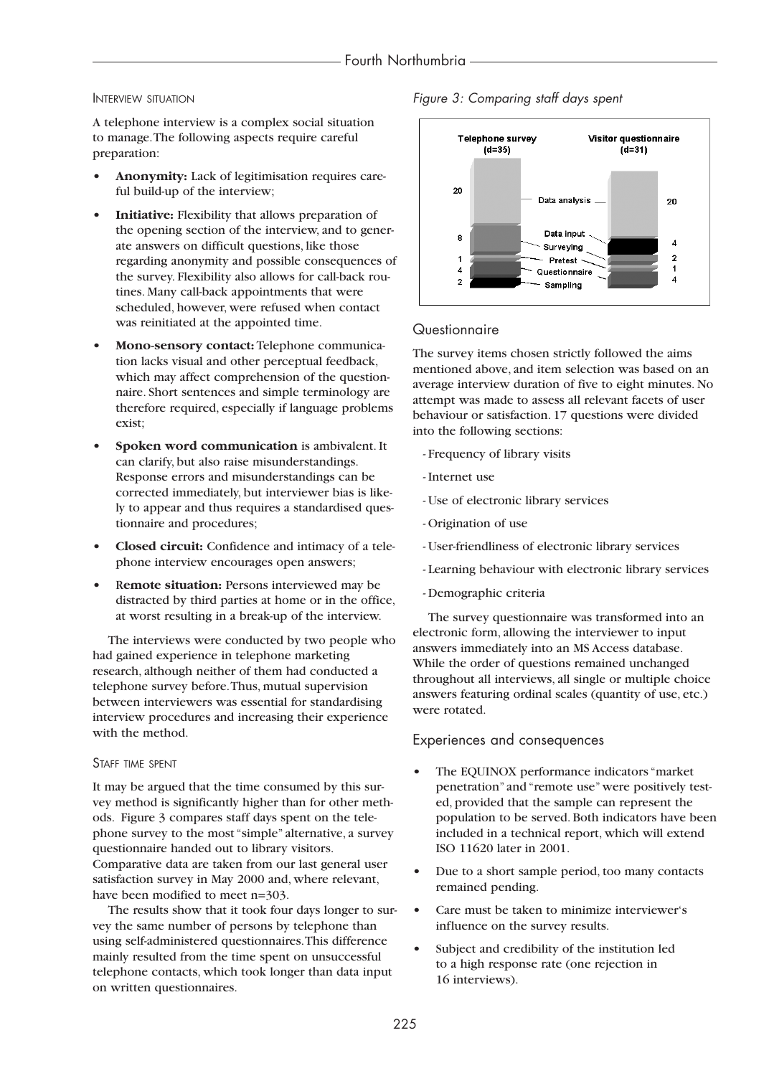#### INTERVIEW SITUATION

A telephone interview is a complex social situation to manage.The following aspects require careful preparation:

- **Anonymity:** Lack of legitimisation requires careful build-up of the interview;
- **Initiative:** Flexibility that allows preparation of the opening section of the interview, and to generate answers on difficult questions, like those regarding anonymity and possible consequences of the survey. Flexibility also allows for call-back routines. Many call-back appointments that were scheduled, however, were refused when contact was reinitiated at the appointed time.
- **Mono-sensory contact:** Telephone communication lacks visual and other perceptual feedback, which may affect comprehension of the questionnaire. Short sentences and simple terminology are therefore required, especially if language problems exist;
- **Spoken word communication** is ambivalent. It can clarify, but also raise misunderstandings. Response errors and misunderstandings can be corrected immediately, but interviewer bias is likely to appear and thus requires a standardised questionnaire and procedures;
- **Closed circuit:** Confidence and intimacy of a telephone interview encourages open answers;
- **•** R**emote situation:** Persons interviewed may be distracted by third parties at home or in the office, at worst resulting in a break-up of the interview.

The interviews were conducted by two people who had gained experience in telephone marketing research, although neither of them had conducted a telephone survey before.Thus, mutual supervision between interviewers was essential for standardising interview procedures and increasing their experience with the method.

#### STAFF TIME SPENT

It may be argued that the time consumed by this survey method is significantly higher than for other methods. Figure 3 compares staff days spent on the telephone survey to the most "simple" alternative, a survey questionnaire handed out to library visitors. Comparative data are taken from our last general user satisfaction survey in May 2000 and, where relevant, have been modified to meet n=303.

The results show that it took four days longer to survey the same number of persons by telephone than using self-administered questionnaires.This difference mainly resulted from the time spent on unsuccessful telephone contacts, which took longer than data input on written questionnaires.



*Figure 3: Comparing staff days spent*

## **Questionnaire**

The survey items chosen strictly followed the aims mentioned above, and item selection was based on an average interview duration of five to eight minutes. No attempt was made to assess all relevant facets of user behaviour or satisfaction. 17 questions were divided into the following sections:

- Frequency of library visits
- Internet use
- Use of electronic library services
- Origination of use
- User-friendliness of electronic library services
- Learning behaviour with electronic library services
- Demographic criteria

The survey questionnaire was transformed into an electronic form, allowing the interviewer to input answers immediately into an MS Access database. While the order of questions remained unchanged throughout all interviews, all single or multiple choice answers featuring ordinal scales (quantity of use, etc.) were rotated.

#### Experiences and consequences

- **•** The EQUINOX performance indicators "market penetration" and "remote use" were positively tested, provided that the sample can represent the population to be served. Both indicators have been included in a technical report, which will extend ISO 11620 later in 2001.
- **•** Due to a short sample period, too many contacts remained pending.
- **•** Care must be taken to minimize interviewer's influence on the survey results.
- **•** Subject and credibility of the institution led to a high response rate (one rejection in 16 interviews).